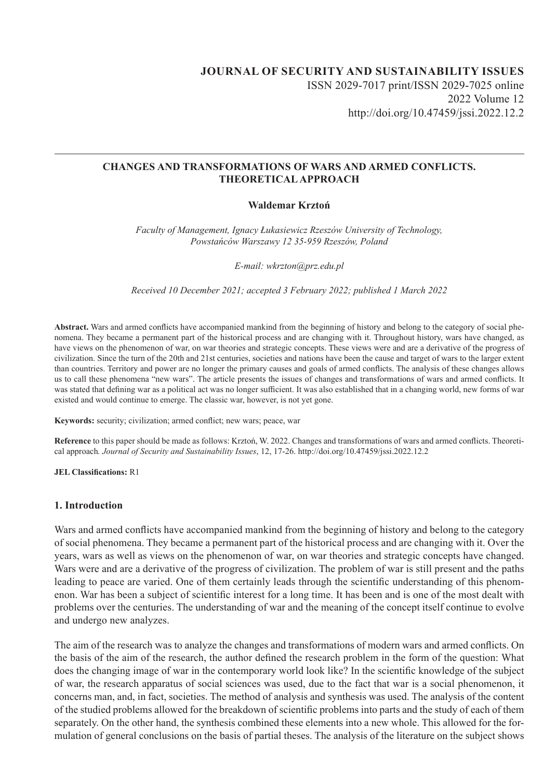# **JOURNAL OF SECURITY AND SUSTAINABILITY ISSUES** ISSN 2029-7017 print/ISSN 2029-7025 online 2022 Volume 12 http://doi.org/10.47459/jssi.2022.12.2

## **CHANGES AND TRANSFORMATIONS OF WARS AND ARMED CONFLICTS. THEORETICAL APPROACH**

## **Waldemar Krztoń**

*Faculty of Management, Ignacy Łukasiewicz Rzeszów University of Technology, Powstańców Warszawy 12 35-959 Rzeszów, Poland*

*E-mail: wkrzton@prz.edu.pl*

*Received 10 December 2021; accepted 3 February 2022; published 1 March 2022*

**Abstract.** Wars and armed conflicts have accompanied mankind from the beginning of history and belong to the category of social phenomena. They became a permanent part of the historical process and are changing with it. Throughout history, wars have changed, as have views on the phenomenon of war, on war theories and strategic concepts. These views were and are a derivative of the progress of civilization. Since the turn of the 20th and 21st centuries, societies and nations have been the cause and target of wars to the larger extent than countries. Territory and power are no longer the primary causes and goals of armed conflicts. The analysis of these changes allows us to call these phenomena "new wars". The article presents the issues of changes and transformations of wars and armed conflicts. It was stated that defining war as a political act was no longer sufficient. It was also established that in a changing world, new forms of war existed and would continue to emerge. The classic war, however, is not yet gone.

**Keywords:** security; civilization; armed conflict; new wars; peace, war

**Reference** to this paper should be made as follows: Krztoń, W. 2022. Changes and transformations of wars and armed conflicts. Theoretical approach*. Journal of Security and Sustainability Issues*, 12, 17-26. http://doi.org/10.47459/jssi.2022.12.2

**JEL Classifications:** R1

#### **1. Introduction**

Wars and armed conflicts have accompanied mankind from the beginning of history and belong to the category of social phenomena. They became a permanent part of the historical process and are changing with it. Over the years, wars as well as views on the phenomenon of war, on war theories and strategic concepts have changed. Wars were and are a derivative of the progress of civilization. The problem of war is still present and the paths leading to peace are varied. One of them certainly leads through the scientific understanding of this phenomenon. War has been a subject of scientific interest for a long time. It has been and is one of the most dealt with problems over the centuries. The understanding of war and the meaning of the concept itself continue to evolve and undergo new analyzes.

The aim of the research Was to analyze the changes and transformations of modern wars and armed conflicts. On the basis of the aim of the research, the author defined the research problem in the form of the question: What does the changing image of war in the contemporary world look like? In the scientific knowledge of the subject of war, the research apparatus of social sciences was used, due to the fact that war is a social phenomenon, it concerns man, and, in fact, societies. The method of analysis and synthesis was used. The analysis of the content of the studied problems allowed for the breakdown of scientific problems into parts and the study of each of them separately. On the other hand, the synthesis combined these elements into a new whole. This allowed for the formulation of general conclusions on the basis of partial theses. The analysis of the literature on the subject shows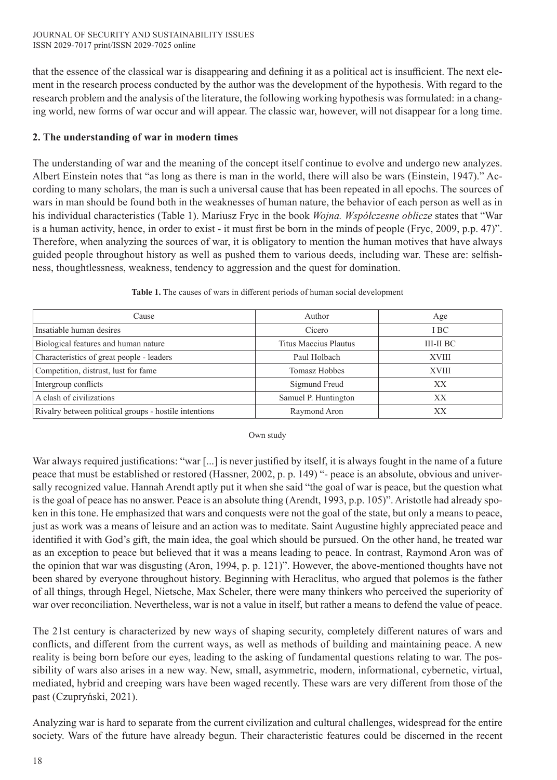that the essence of the classical war is disappearing and defining it as a political act is insufficient. The next element in the research process conducted by the author was the development of the hypothesis. With regard to the research problem and the analysis of the literature, the following working hypothesis was formulated: in a changing world, new forms of war occur and will appear. The classic war, however, will not disappear for a long time.

## **2. The understanding of war in modern times**

The understanding of war and the meaning of the concept itself continue to evolve and undergo new analyzes. Albert Einstein notes that "as long as there is man in the world, there will also be wars (Einstein, 1947)." According to many scholars, the man is such a universal cause that has been repeated in all epochs. The sources of wars in man should be found both in the weaknesses of human nature, the behavior of each person as well as in his individual characteristics (Table 1). Mariusz Fryc in the book *Wojna. Współczesne oblicze* states that "War is a human activity, hence, in order to exist - it must first be born in the minds of people (Fryc, 2009, p.p. 47)". Therefore, when analyzing the sources of war, it is obligatory to mention the human motives that have always guided people throughout history as well as pushed them to various deeds, including war. These are: selfishness, thoughtlessness, weakness, tendency to aggression and the quest for domination.

| Cause                                                 | Author                | Age          |
|-------------------------------------------------------|-----------------------|--------------|
| Insatiable human desires                              | Cicero                | I BC         |
| Biological features and human nature                  | Titus Maccius Plautus | III-II BC    |
| Characteristics of great people - leaders             | Paul Holbach          | <b>XVIII</b> |
| Competition, distrust, lust for fame                  | Tomasz Hobbes         | <b>XVIII</b> |
| Intergroup conflicts                                  | Sigmund Freud         | XX           |
| A clash of civilizations                              | Samuel P. Huntington  | XX           |
| Rivalry between political groups - hostile intentions | Raymond Aron          | XХ           |

## **Table 1.** The causes of wars in different periods of human social development

## Own study

War always required justifications: "war [...] is never justified by itself, it is always fought in the name of a future peace that must be established or restored (Hassner, 2002, p. p. 149) "- peace is an absolute, obvious and universally recognized value. Hannah Arendt aptly put it when she said "the goal of war is peace, but the question what is the goal of peace has no answer. Peace is an absolute thing (Arendt, 1993, p.p. 105)". Aristotle had already spoken in this tone. He emphasized that wars and conquests were not the goal of the state, but only a means to peace, just as work was a means of leisure and an action was to meditate. Saint Augustine highly appreciated peace and identified it with God's gift, the main idea, the goal which should be pursued. On the other hand, he treated war as an exception to peace but believed that it was a means leading to peace. In contrast, Raymond Aron was of the opinion that war was disgusting (Aron, 1994, p. p. 121)". However, the above-mentioned thoughts have not been shared by everyone throughout history. Beginning with Heraclitus, who argued that polemos is the father of all things, through Hegel, Nietsche, Max Scheler, there were many thinkers who perceived the superiority of war over reconciliation. Nevertheless, war is not a value in itself, but rather a means to defend the value of peace.

The 21st century is characterized by new ways of shaping security, completely different natures of wars and conflicts, and different from the current ways, as well as methods of building and maintaining peace. A new reality is being born before our eyes, leading to the asking of fundamental questions relating to war. The possibility of wars also arises in a new way. New, small, asymmetric, modern, informational, cybernetic, virtual, mediated, hybrid and creeping wars have been waged recently. These wars are very different from those of the past (Czupryński, 2021).

Analyzing war is hard to separate from the current civilization and cultural challenges, widespread for the entire society. Wars of the future have already begun. Their characteristic features could be discerned in the recent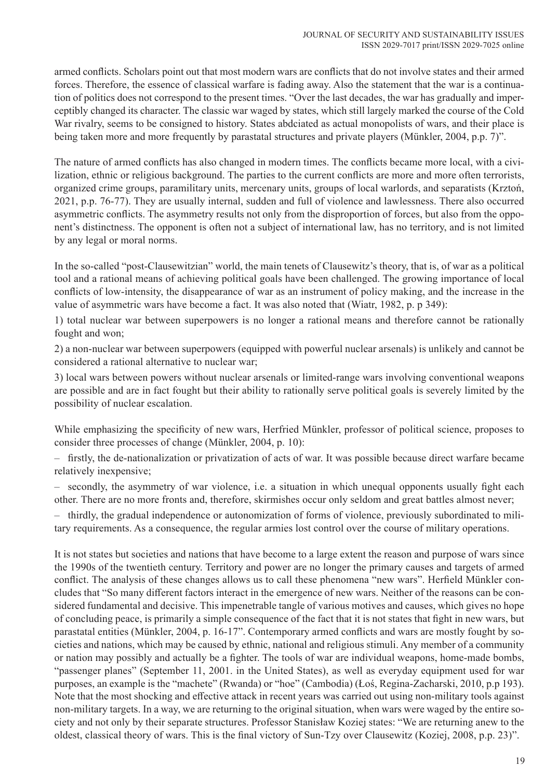armed conflicts. Scholars point out that most modern wars are conflicts that do not involve states and their armed forces. Therefore, the essence of classical warfare is fading away. Also the statement that the war is a continuation of politics does not correspond to the present times. "Over the last decades, the war has gradually and imperceptibly changed its character. The classic war waged by states, which still largely marked the course of the Cold War rivalry, seems to be consigned to history. States abdciated as actual monopolists of wars, and their place is being taken more and more frequently by parastatal structures and private players (Münkler, 2004, p.p. 7)".

The nature of armed conflicts has also changed in modern times. The conflicts became more local, with a civilization, ethnic or religious background. The parties to the current conflicts are more and more often terrorists, organized crime groups, paramilitary units, mercenary units, groups of local warlords, and separatists (Krztoń, 2021, p.p. 76-77). They are usually internal, sudden and full of violence and lawlessness. There also occurred asymmetric conflicts. The asymmetry results not only from the disproportion of forces, but also from the opponent's distinctness. The opponent is often not a subject of international law, has no territory, and is not limited by any legal or moral norms.

In the so-called "post-Clausewitzian" world, the main tenets of Clausewitz's theory, that is, of war as a political tool and a rational means of achieving political goals have been challenged. The growing importance of local conflicts of low-intensity, the disappearance of war as an instrument of policy making, and the increase in the value of asymmetric wars have become a fact. It was also noted that (Wiatr, 1982, p. p 349):

1) total nuclear war between superpowers is no longer a rational means and therefore cannot be rationally fought and won;

2) a non-nuclear war between superpowers (equipped with powerful nuclear arsenals) is unlikely and cannot be considered a rational alternative to nuclear war;

3) local wars between powers without nuclear arsenals or limited-range wars involving conventional weapons are possible and are in fact fought but their ability to rationally serve political goals is severely limited by the possibility of nuclear escalation.

While emphasizing the specificity of new wars, Herfried Münkler, professor of political science, proposes to consider three processes of change (Münkler, 2004, p. 10):

– firstly, the de-nationalization or privatization of acts of war. It was possible because direct warfare became relatively inexpensive;

– secondly, the asymmetry of war violence, i.e. a situation in which unequal opponents usually fight each other. There are no more fronts and, therefore, skirmishes occur only seldom and great battles almost never;

– thirdly, the gradual independence or autonomization of forms of violence, previously subordinated to military requirements. As a consequence, the regular armies lost control over the course of military operations.

It is not states but societies and nations that have become to a large extent the reason and purpose of wars since the 1990s of the twentieth century. Territory and power are no longer the primary causes and targets of armed conflict. The analysis of these changes allows us to call these phenomena "new wars". Herfield Münkler concludes that "So many different factors interact in the emergence of new wars. Neither of the reasons can be considered fundamental and decisive. This impenetrable tangle of various motives and causes, which gives no hope of concluding peace, is primarily a simple consequence of the fact that it is not states that fight in new wars, but parastatal entities (Münkler, 2004, p. 16-17". Contemporary armed conflicts and wars are mostly fought by societies and nations, which may be caused by ethnic, national and religious stimuli. Any member of a community or nation may possibly and actually be a fighter. The tools of war are individual weapons, home-made bombs, "passenger planes" (September 11, 2001. in the United States), as well as everyday equipment used for war purposes, an example is the "machete" (Rwanda) or "hoe" (Cambodia) (Łoś, Regina-Zacharski, 2010, p.p 193). Note that the most shocking and effective attack in recent years was carried out using non-military tools against non-military targets. In a way, we are returning to the original situation, when wars were waged by the entire society and not only by their separate structures. Professor Stanisław Koziej states: "We are returning anew to the oldest, classical theory of wars. This is the final victory of Sun-Tzy over Clausewitz (Koziej, 2008, p.p. 23)".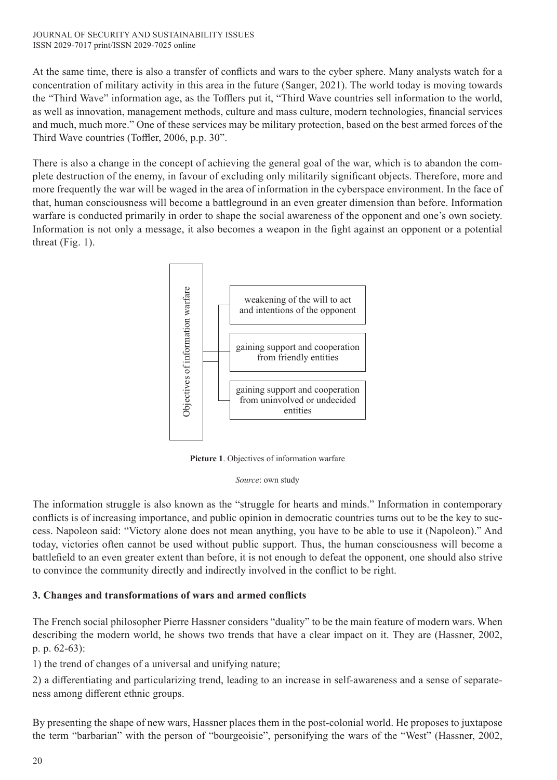#### JOURNAL OF SECURITY AND SUSTAINABILITY ISSUES ISSN 2029-7017 print/ISSN 2029-7025 online

At the same time, there is also a transfer of conflicts and wars to the cyber sphere. Many analysts watch for a concentration of military activity in this area in the future (Sanger, 2021). The world today is moving towards the "Third Wave" information age, as the Tofflers put it, "Third Wave countries sell information to the world, as well as innovation, management methods, culture and mass culture, modern technologies, financial services and much, much more." One of these services may be military protection, based on the best armed forces of the Third Wave countries (Toffler, 2006, p.p. 30".

There is also a change in the concept of achieving the general goal of the war, which is to abandon the complete destruction of the enemy, in favour of excluding only militarily significant objects. Therefore, more and more frequently the war will be waged in the area of information in the cyberspace environment. In the face of that, human consciousness will become a battleground in an even greater dimension than before. Information warfare is conducted primarily in order to shape the social awareness of the opponent and one's own society. Information is not only a message, it also becomes a weapon in the fight against an opponent or a potential threat (Fig. 1).



**Picture 1**. Objectives of information warfare

*Source*: own study

The information struggle is also known as the "struggle for hearts and minds." Information in contemporary conflicts is of increasing importance, and public opinion in democratic countries turns out to be the key to success. Napoleon said: "Victory alone does not mean anything, you have to be able to use it (Napoleon)." And today, victories often cannot be used without public support. Thus, the human consciousness will become a battlefield to an even greater extent than before, it is not enough to defeat the opponent, one should also strive to convince the community directly and indirectly involved in the conflict to be right.

## **3. Changes and transformations of wars and armed conflicts**

The French social philosopher Pierre Hassner considers "duality" to be the main feature of modern wars. When describing the modern world, he shows two trends that have a clear impact on it. They are (Hassner, 2002, p. p. 62-63):

1) the trend of changes of a universal and unifying nature;

2) a differentiating and particularizing trend, leading to an increase in self-awareness and a sense of separateness among different ethnic groups.

By presenting the shape of new wars, Hassner places them in the post-colonial world. He proposes to juxtapose the term "barbarian" with the person of "bourgeoisie", personifying the wars of the "West" (Hassner, 2002,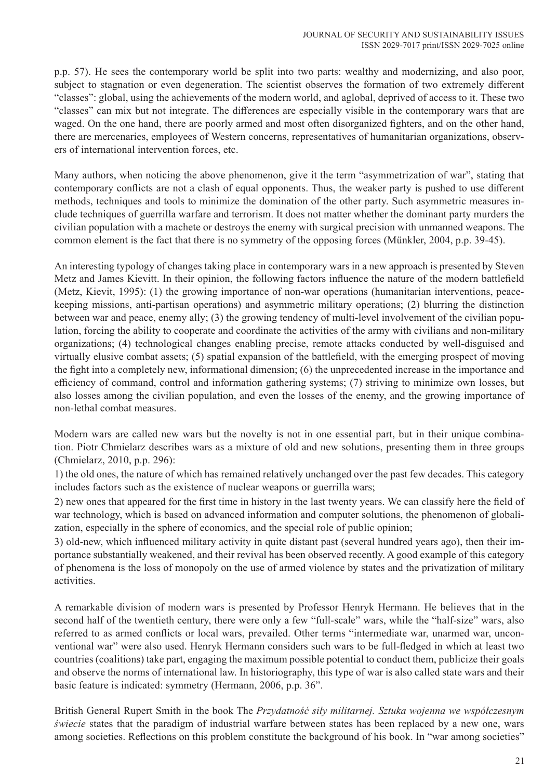p.p. 57). He sees the contemporary world be split into two parts: wealthy and modernizing, and also poor, subject to stagnation or even degeneration. The scientist observes the formation of two extremely different "classes": global, using the achievements of the modern world, and aglobal, deprived of access to it. These two "classes" can mix but not integrate. The differences are especially visible in the contemporary wars that are waged. On the one hand, there are poorly armed and most often disorganized fighters, and on the other hand, there are mercenaries, employees of Western concerns, representatives of humanitarian organizations, observers of international intervention forces, etc.

Many authors, when noticing the above phenomenon, give it the term "asymmetrization of war", stating that contemporary conflicts are not a clash of equal opponents. Thus, the weaker party is pushed to use different methods, techniques and tools to minimize the domination of the other party. Such asymmetric measures include techniques of guerrilla warfare and terrorism. It does not matter whether the dominant party murders the civilian population with a machete or destroys the enemy with surgical precision with unmanned weapons. The common element is the fact that there is no symmetry of the opposing forces (Münkler, 2004, p.p. 39-45).

An interesting typology of changes taking place in contemporary wars in a new approach is presented by Steven Metz and James Kievitt. In their opinion, the following factors influence the nature of the modern battlefield (Metz, Kievit, 1995): (1) the growing importance of non-war operations (humanitarian interventions, peacekeeping missions, anti-partisan operations) and asymmetric military operations; (2) blurring the distinction between war and peace, enemy ally; (3) the growing tendency of multi-level involvement of the civilian population, forcing the ability to cooperate and coordinate the activities of the army with civilians and non-military organizations; (4) technological changes enabling precise, remote attacks conducted by well-disguised and virtually elusive combat assets; (5) spatial expansion of the battlefield, with the emerging prospect of moving the fight into a completely new, informational dimension; (6) the unprecedented increase in the importance and efficiency of command, control and information gathering systems; (7) striving to minimize own losses, but also losses among the civilian population, and even the losses of the enemy, and the growing importance of non-lethal combat measures.

Modern wars are called new wars but the novelty is not in one essential part, but in their unique combination. Piotr Chmielarz describes wars as a mixture of old and new solutions, presenting them in three groups (Chmielarz, 2010, p.p. 296):

1) the old ones, the nature of which has remained relatively unchanged over the past few decades. This category includes factors such as the existence of nuclear weapons or guerrilla wars;

2) new ones that appeared for the first time in history in the last twenty years. We can classify here the field of war technology, which is based on advanced information and computer solutions, the phenomenon of globalization, especially in the sphere of economics, and the special role of public opinion;

3) old-new, which influenced military activity in quite distant past (several hundred years ago), then their importance substantially weakened, and their revival has been observed recently. A good example of this category of phenomena is the loss of monopoly on the use of armed violence by states and the privatization of military activities.

A remarkable division of modern wars is presented by Professor Henryk Hermann. He believes that in the second half of the twentieth century, there were only a few "full-scale" wars, while the "half-size" wars, also referred to as armed conflicts or local wars, prevailed. Other terms "intermediate war, unarmed war, unconventional war" were also used. Henryk Hermann considers such wars to be full-fledged in which at least two countries (coalitions) take part, engaging the maximum possible potential to conduct them, publicize their goals and observe the norms of international law. In historiography, this type of war is also called state wars and their basic feature is indicated: symmetry (Hermann, 2006, p.p. 36".

British General Rupert Smith in the book The *Przydatność siły militarnej. Sztuka wojenna we współczesnym świecie* states that the paradigm of industrial warfare between states has been replaced by a new one, wars among societies. Reflections on this problem constitute the background of his book. In "war among societies"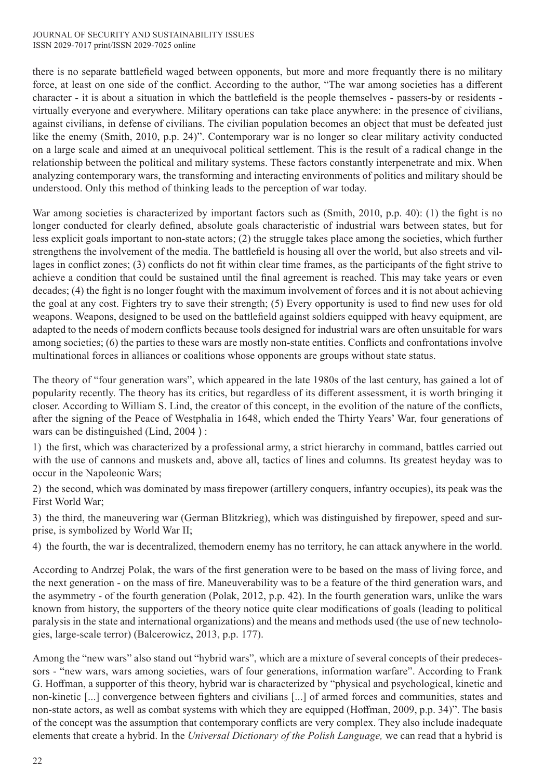there is no separate battlefield waged between opponents, but more and more frequantly there is no military force, at least on one side of the conflict. According to the author, "The war among societies has a different character - it is about a situation in which the battlefield is the people themselves - passers-by or residents virtually everyone and everywhere. Military operations can take place anywhere: in the presence of civilians, against civilians, in defense of civilians. The civilian population becomes an object that must be defeated just like the enemy (Smith, 2010, p.p. 24)". Contemporary war is no longer so clear military activity conducted on a large scale and aimed at an unequivocal political settlement. This is the result of a radical change in the relationship between the political and military systems. These factors constantly interpenetrate and mix. When analyzing contemporary wars, the transforming and interacting environments of politics and military should be understood. Only this method of thinking leads to the perception of war today.

War among societies is characterized by important factors such as (Smith, 2010, p.p. 40): (1) the fight is no longer conducted for clearly defined, absolute goals characteristic of industrial wars between states, but for less explicit goals important to non-state actors; (2) the struggle takes place among the societies, which further strengthens the involvement of the media. The battlefield is housing all over the world, but also streets and villages in conflict zones; (3) conflicts do not fit within clear time frames, as the participants of the fight strive to achieve a condition that could be sustained until the final agreement is reached. This may take years or even decades; (4) the fight is no longer fought with the maximum involvement of forces and it is not about achieving the goal at any cost. Fighters try to save their strength; (5) Every opportunity is used to find new uses for old weapons. Weapons, designed to be used on the battlefield against soldiers equipped with heavy equipment, are adapted to the needs of modern conflicts because tools designed for industrial wars are often unsuitable for wars among societies; (6) the parties to these wars are mostly non-state entities. Conflicts and confrontations involve multinational forces in alliances or coalitions whose opponents are groups without state status.

The theory of "four generation wars", which appeared in the late 1980s of the last century, has gained a lot of popularity recently. The theory has its critics, but regardless of its different assessment, it is worth bringing it closer. According to William S. Lind, the creator of this concept, in the evolition of the nature of the conflicts, after the signing of the Peace of Westphalia in 1648, which ended the Thirty Years' War, four generations of wars can be distinguished (Lind, 2004 ) :

1) the first, which was characterized by a professional army, a strict hierarchy in command, battles carried out with the use of cannons and muskets and, above all, tactics of lines and columns. Its greatest heyday was to occur in the Napoleonic Wars;

2) the second, which was dominated by mass firepower (artillery conquers, infantry occupies), its peak was the First World War;

3) the third, the maneuvering war (German Blitzkrieg), which was distinguished by firepower, speed and surprise, is symbolized by World War II;

4) the fourth, the war is decentralized, themodern enemy has no territory, he can attack anywhere in the world.

According to Andrzej Polak, the wars of the first generation were to be based on the mass of living force, and the next generation - on the mass of fire. Maneuverability was to be a feature of the third generation wars, and the asymmetry - of the fourth generation (Polak, 2012, p.p. 42). In the fourth generation wars, unlike the wars known from history, the supporters of the theory notice quite clear modifications of goals (leading to political paralysis in the state and international organizations) and the means and methods used (the use of new technologies, large-scale terror) (Balcerowicz, 2013, p.p. 177).

Among the "new wars" also stand out "hybrid wars", which are a mixture of several concepts of their predecessors - "new wars, wars among societies, wars of four generations, information warfare". According to Frank G. Hoffman, a supporter of this theory, hybrid war is characterized by "physical and psychological, kinetic and non-kinetic [...] convergence between fighters and civilians [...] of armed forces and communities, states and non-state actors, as well as combat systems with which they are equipped (Hoffman, 2009, p.p. 34)". The basis of the concept was the assumption that contemporary conflicts are very complex. They also include inadequate elements that create a hybrid. In the *Universal Dictionary of the Polish Language,* we can read that a hybrid is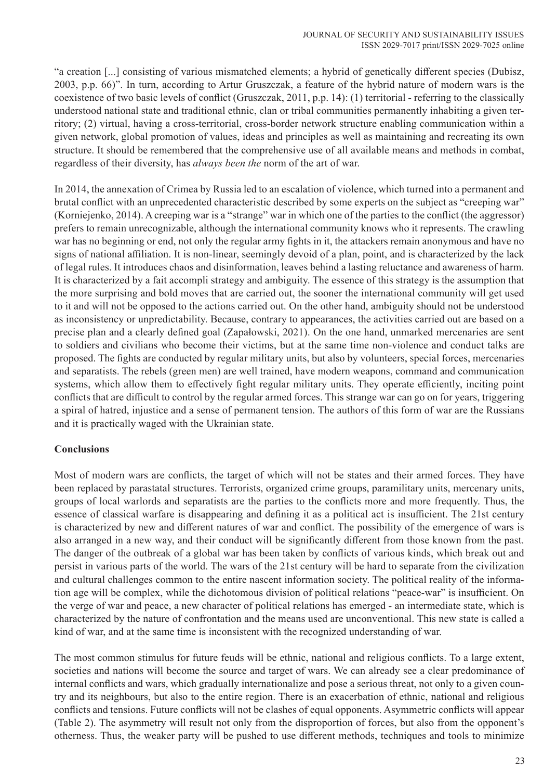"a creation [...] consisting of various mismatched elements; a hybrid of genetically different species (Dubisz, 2003, p.p. 66)". In turn, according to Artur Gruszczak, a feature of the hybrid nature of modern wars is the coexistence of two basic levels of conflict (Gruszczak, 2011, p.p. 14): (1) territorial - referring to the classically understood national state and traditional ethnic, clan or tribal communities permanently inhabiting a given territory; (2) virtual, having a cross-territorial, cross-border network structure enabling communication within a given network, global promotion of values, ideas and principles as well as maintaining and recreating its own structure. It should be remembered that the comprehensive use of all available means and methods in combat, regardless of their diversity, has *always been the* norm of the art of war.

In 2014, the annexation of Crimea by Russia led to an escalation of violence, which turned into a permanent and brutal conflict with an unprecedented characteristic described by some experts on the subject as "creeping war" (Korniejenko, 2014). A creeping war is a "strange" war in which one of the parties to the conflict (the aggressor) prefers to remain unrecognizable, although the international community knows who it represents. The crawling war has no beginning or end, not only the regular army fights in it, the attackers remain anonymous and have no signs of national affiliation. It is non-linear, seemingly devoid of a plan, point, and is characterized by the lack of legal rules. It introduces chaos and disinformation, leaves behind a lasting reluctance and awareness of harm. It is characterized by a fait accompli strategy and ambiguity. The essence of this strategy is the assumption that the more surprising and bold moves that are carried out, the sooner the international community will get used to it and will not be opposed to the actions carried out. On the other hand, ambiguity should not be understood as inconsistency or unpredictability. Because, contrary to appearances, the activities carried out are based on a precise plan and a clearly defined goal (Zapałowski, 2021). On the one hand, unmarked mercenaries are sent to soldiers and civilians who become their victims, but at the same time non-violence and conduct talks are proposed. The fights are conducted by regular military units, but also by volunteers, special forces, mercenaries and separatists. The rebels (green men) are well trained, have modern weapons, command and communication systems, which allow them to effectively fight regular military units. They operate efficiently, inciting point conflicts that are difficult to control by the regular armed forces. This strange war can go on for years, triggering a spiral of hatred, injustice and a sense of permanent tension. The authors of this form of war are the Russians and it is practically waged with the Ukrainian state.

## **Conclusions**

Most of modern wars are conflicts, the target of which will not be states and their armed forces. They have been replaced by parastatal structures. Terrorists, organized crime groups, paramilitary units, mercenary units, groups of local warlords and separatists are the parties to the conflicts more and more frequently. Thus, the essence of classical warfare is disappearing and defining it as a political act is insufficient. The 21st century is characterized by new and different natures of war and conflict. The possibility of the emergence of wars is also arranged in a new way, and their conduct will be significantly different from those known from the past. The danger of the outbreak of a global war has been taken by conflicts of various kinds, which break out and persist in various parts of the world. The wars of the 21st century will be hard to separate from the civilization and cultural challenges common to the entire nascent information society. The political reality of the information age will be complex, while the dichotomous division of political relations "peace-war" is insufficient. On the verge of war and peace, a new character of political relations has emerged *-* an intermediate state, which is characterized by the nature of confrontation and the means used are unconventional. This new state is called a kind of war, and at the same time is inconsistent with the recognized understanding of war.

The most common stimulus for future feuds will be ethnic, national and religious conflicts. To a large extent, societies and nations will become the source and target of wars. We can already see a clear predominance of internal conflicts and wars, which gradually internationalize and pose a serious threat, not only to a given country and its neighbours, but also to the entire region. There is an exacerbation of ethnic, national and religious conflicts and tensions. Future conflicts will not be clashes of equal opponents. Asymmetric conflicts will appear (Table 2). The asymmetry will result not only from the disproportion of forces, but also from the opponent's otherness. Thus, the weaker party will be pushed to use different methods, techniques and tools to minimize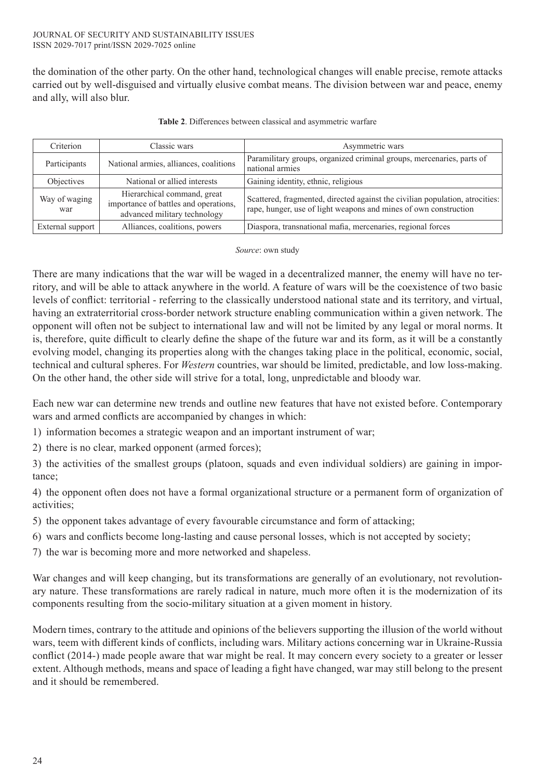the domination of the other party. On the other hand, technological changes will enable precise, remote attacks carried out by well-disguised and virtually elusive combat means. The division between war and peace, enemy and ally, will also blur.

| Criterion            | Classic wars                                                                                                                       | Asymmetric wars                                                                                                                                  |  |
|----------------------|------------------------------------------------------------------------------------------------------------------------------------|--------------------------------------------------------------------------------------------------------------------------------------------------|--|
| Participants         | Paramilitary groups, organized criminal groups, mercenaries, parts of<br>National armies, alliances, coalitions<br>national armies |                                                                                                                                                  |  |
| <b>Objectives</b>    | National or allied interests                                                                                                       | Gaining identity, ethnic, religious                                                                                                              |  |
| Way of waging<br>war | Hierarchical command, great<br>importance of battles and operations,<br>advanced military technology                               | Scattered, fragmented, directed against the civilian population, atrocities:<br>rape, hunger, use of light weapons and mines of own construction |  |
| External support     | Alliances, coalitions, powers                                                                                                      | Diaspora, transnational mafia, mercenaries, regional forces                                                                                      |  |

**Table 2**. Differences between classical and asymmetric warfare

*Source*: own study

There are many indications that the war will be waged in a decentralized manner, the enemy will have no territory, and will be able to attack anywhere in the world. A feature of wars will be the coexistence of two basic levels of conflict: territorial - referring to the classically understood national state and its territory, and virtual, having an extraterritorial cross-border network structure enabling communication within a given network. The opponent will often not be subject to international law and will not be limited by any legal or moral norms. It is, therefore, quite difficult to clearly define the shape of the future war and its form, as it will be a constantly evolving model, changing its properties along with the changes taking place in the political, economic, social, technical and cultural spheres. For *Western* countries, war should be limited, predictable, and low loss-making. On the other hand, the other side will strive for a total, long, unpredictable and bloody war.

Each new war can determine new trends and outline new features that have not existed before. Contemporary wars and armed conflicts are accompanied by changes in which:

- 1) information becomes a strategic weapon and an important instrument of war;
- 2) there is no clear, marked opponent (armed forces);

3) the activities of the smallest groups (platoon, squads and even individual soldiers) are gaining in importance;

4) the opponent often does not have a formal organizational structure or a permanent form of organization of activities;

- 5) the opponent takes advantage of every favourable circumstance and form of attacking;
- 6) wars and conflicts become long-lasting and cause personal losses, which is not accepted by society;
- 7) the war is becoming more and more networked and shapeless.

War changes and will keep changing, but its transformations are generally of an evolutionary, not revolutionary nature. These transformations are rarely radical in nature, much more often it is the modernization of its components resulting from the socio-military situation at a given moment in history.

Modern times, contrary to the attitude and opinions of the believers supporting the illusion of the world without wars, teem with different kinds of conflicts, including wars. Military actions concerning war in Ukraine-Russia conflict (2014-) made people aware that war might be real. It may concern every society to a greater or lesser extent. Although methods, means and space of leading a fight have changed, war may still belong to the present and it should be remembered.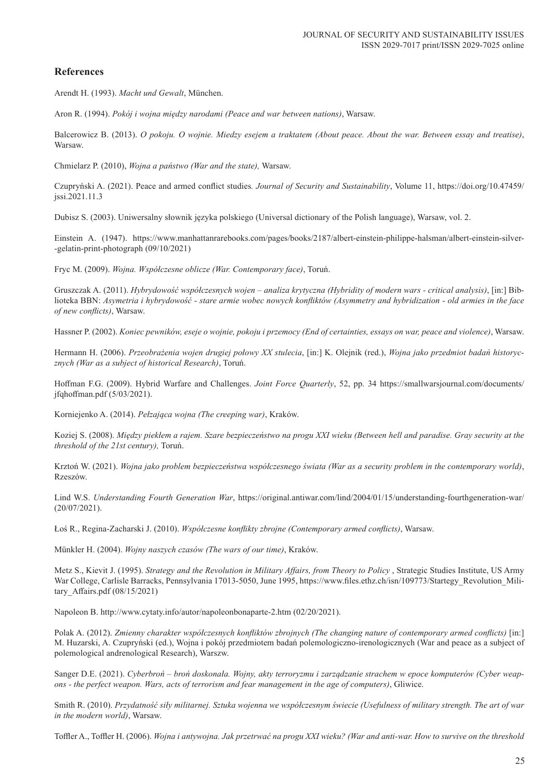## **References**

Arendt H. (1993). *Macht und Gewalt*, München.

Aron R. (1994). *Pokój i wojna między narodami (Peace and war between nations)*, Warsaw.

Balcerowicz B. (2013). *O pokoju. O wojnie. Miedzy esejem a traktatem (About peace. About the war. Between essay and treatise)*, Warsaw.

Chmielarz P. (2010), *Wojna a państwo (War and the state),* Warsaw.

Czupryński A. (2021). Peace and armed conflict studies*. Journal of Security and Sustainability*, Volume 11, https://doi.org/10.47459/ jssi.2021.11.3

Dubisz S. (2003). Uniwersalny słownik języka polskiego (Universal dictionary of the Polish language), Warsaw, vol. 2.

Einstein A. (1947). https://www.manhattanrarebooks.com/pages/books/2187/albert-einstein-philippe-halsman/albert-einstein-silver- -gelatin-print-photograph (09/10/2021)

Fryc M. (2009). *Wojna. Współczesne oblicze (War. Contemporary face)*, Toruń.

Gruszczak A. (2011). *Hybrydowość współczesnych wojen – analiza krytyczna (Hybridity of modern wars - critical analysis)*, [in:] Biblioteka BBN: *Asymetria i hybrydowość - stare armie wobec nowych konfliktów (Asymmetry and hybridization - old armies in the face of new conflicts)*, Warsaw.

Hassner P. (2002). *Koniec pewników, eseje o wojnie, pokoju i przemocy (End of certainties, essays on war, peace and violence)*, Warsaw.

Hermann H. (2006). *Przeobrażenia wojen drugiej połowy XX stulecia*, [in:] K. Olejnik (red.), *Wojna jako przedmiot badań historycznych (War as a subject of historical Research)*, Toruń.

Hoffman F.G. (2009). Hybrid Warfare and Challenges. *Joint Force Quarterly*, 52, pp. 34 https://smallwarsjournal.com/documents/ jfqhoffman.pdf (5/03/2021).

Korniejenko A. (2014). *Pełzająca wojna (The creeping war)*, Kraków.

Koziej S. (2008). *Między piekłem a rajem. Szare bezpieczeństwo na progu XXI wieku (Between hell and paradise. Gray security at the threshold of the 21st century),* Toruń.

Krztoń W. (2021). *Wojna jako problem bezpieczeństwa współczesnego świata (War as a security problem in the contemporary world)*, Rzeszów.

Lind W.S. *Understanding Fourth Generation War*, https://original.antiwar.com/lind/2004/01/15/understanding-fourthgeneration-war/ (20/07/2021).

Łoś R., Regina-Zacharski J. (2010). *Współczesne konflikty zbrojne (Contemporary armed conflicts)*, Warsaw.

Münkler H. (2004). *Wojny naszych czasów (The wars of our time)*, Kraków.

Metz S., Kievit J. (1995). *Strategy and the Revolution in Military Affairs, from Theory to Policy* , Strategic Studies Institute, US Army War College, Carlisle Barracks, Pennsylvania 17013-5050, June 1995, https://www.files.ethz.ch/isn/109773/Startegy\_Revolution\_Military\_Affairs.pdf (08/15/2021)

Napoleon B. http://www.cytaty.info/autor/napoleonbonaparte-2.htm (02/20/2021).

Polak A. (2012). *Zmienny charakter współczesnych konfliktów zbrojnych (The changing nature of contemporary armed conflicts)* [in:] M. Huzarski, A. Czupryński (ed.), Wojna i pokój przedmiotem badań polemologiczno-irenologicznych (War and peace as a subject of polemological andrenological Research), Warszw.

Sanger D.E. (2021). *Cyberbroń – broń doskonała. Wojny, akty terroryzmu i zarządzanie strachem w epoce komputerów (Cyber weapons - the perfect weapon. Wars, acts of terrorism and fear management in the age of computers)*, Gliwice.

Smith R. (2010). *Przydatność siły militarnej. Sztuka wojenna we współczesnym świecie (Usefulness of military strength. The art of war in the modern world)*, Warsaw.

Toffler A., Toffler H. (2006). *Wojna i antywojna. Jak przetrwać na progu XXI wieku? (War and anti-war. How to survive on the threshold*